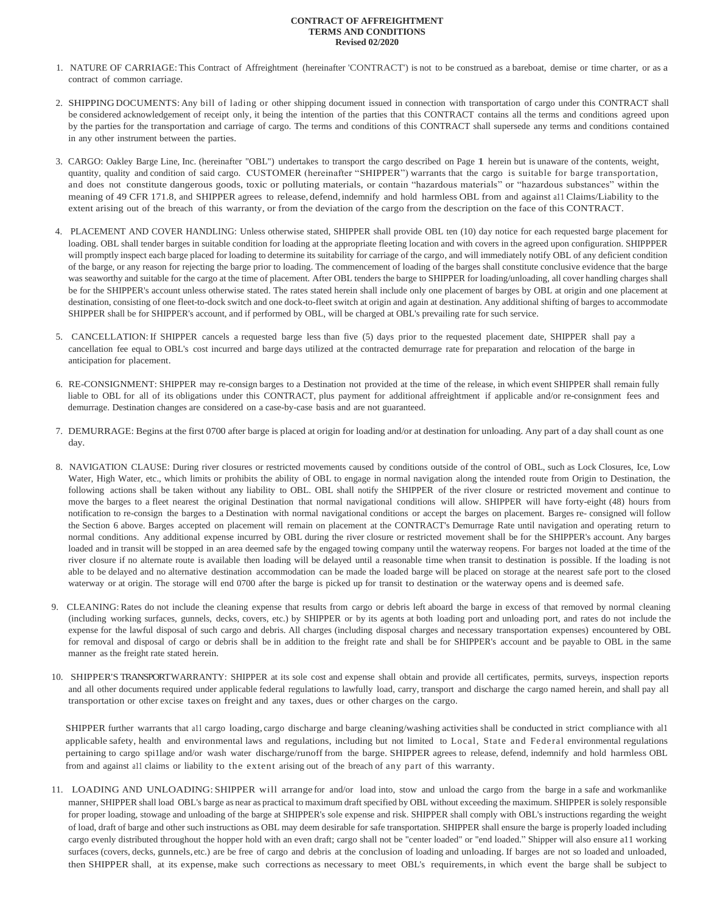## **CONTRACT OF AFFREIGHTMENT TERMS AND CONDITIONS Revised 02/2020**

- 1. NATURE OF CARRIAGE: This Contract of Affreightment (hereinafter 'CONTRACT') is not to be construed as a bareboat, demise or time charter, or as a contract of common carriage.
- 2. SHIPPINGDOCUMENTS: Any bill of lading or other shipping document issued in connection with transportation of cargo under this CONTRACT shall be considered acknowledgement of receipt only, it being the intention of the parties that this CONTRACT contains all the terms and conditions agreed upon by the parties for the transportation and carriage of cargo. The terms and conditions of this CONTRACT shall supersede any terms and conditions contained in any other instrument between the parties.
- 3. CARGO: Oakley Barge Line, Inc. (hereinafter "OBL") undertakes to transport the cargo described on Page 1 herein but is unaware of the contents, weight, quantity, quality and condition of said cargo. CUSTOMER (hereinafter "SHIPPER") warrants that the cargo is suitable for barge transportation, and does not constitute dangerous goods, toxic or polluting materials, or contain "hazardous materials" or "hazardous substances" within the meaning of 49 CFR 171.8, and SHIPPER agrees to release, defend,indemnify and hold harmless OBL from and against a11 Claims/Liability to the extent arising out of the breach of this warranty, or from the deviation of the cargo from the description on the face of this CONTRACT.
- 4. PLACEMENT AND COVER HANDLING: Unless otherwise stated, SHIPPER shall provide OBL ten (10) day notice for each requested barge placement for loading. OBL shall tender barges in suitable condition for loading at the appropriate fleeting location and with covers in the agreed upon configuration. SHIPPPER will promptly inspect each barge placed for loading to determine its suitability for carriage of the cargo, and will immediately notify OBL of any deficient condition of the barge, or any reason for rejecting the barge prior to loading. The commencement of loading of the barges shall constitute conclusive evidence that the barge was seaworthy and suitable for the cargo at the time of placement. After OBL tenders the barge to SHIPPER for loading/unloading, all cover handling charges shall be for the SHIPPER's account unless otherwise stated. The rates stated herein shall include only one placement of barges by OBL at origin and one placement at destination, consisting of one fleet-to-dock switch and one dock-to-fleet switch at origin and again at destination. Any additional shifting of barges to accommodate SHIPPER shall be for SHIPPER's account, and if performed by OBL, will be charged at OBL's prevailing rate for such service.
- 5. CANCELLATION: If SHIPPER cancels a requested barge less than five (5) days prior to the requested placement date, SHIPPER shall pay a cancellation fee equal to OBL's cost incurred and barge days utilized at the contracted demurrage rate for preparation and relocation of the barge in anticipation for placement.
- 6. RE-CONSIGNMENT: SHIPPER may re-consign barges to a Destination not provided at the time of the release, in which event SHIPPER shall remain fully liable to OBL for all of its obligations under this CONTRACT, plus payment for additional affreightment if applicable and/or re-consignment fees and demurrage. Destination changes are considered on a case-by-case basis and are not guaranteed.
- 7. DEMURRAGE: Begins at the first 0700 after barge is placed at origin for loading and/or at destination for unloading. Any part of a day shall count as one day.
- 8. NAVIGATION CLAUSE: During river closures or restricted movements caused by conditions outside of the control of OBL, such as Lock Closures, Ice, Low Water, High Water, etc., which limits or prohibits the ability of OBL to engage in normal navigation along the intended route from Origin to Destination, the following actions shall be taken without any liability to OBL. OBL shall notify the SHIPPER of the river closure or restricted movement and continue to move the barges to a fleet nearest the original Destination that normal navigational conditions will allow. SHIPPER will have forty-eight (48) hours from notification to re-consign the barges to a Destination with normal navigational conditions or accept the barges on placement. Barges re- consigned will follow the Section 6 above. Barges accepted on placement will remain on placement at the CONTRACT's Demurrage Rate until navigation and operating return to normal conditions. Any additional expense incurred by OBL during the river closure or restricted movement shall be for the SHIPPER's account. Any barges loaded and in transit will be stopped in an area deemed safe by the engaged towing company until the waterway reopens. For barges not loaded at the time of the river closure if no alternate route is available then loading will be delayed until a reasonable time when transit to destination is possible. If the loading is not able to be delayed and no alternative destination accommodation can be made the loaded barge will be placed on storage at the nearest safe port to the closed waterway or at origin. The storage will end 0700 after the barge is picked up for transit to destination or the waterway opens and is deemed safe.
- 9. CLEANING: Rates do not include the cleaning expense that results from cargo or debris left aboard the barge in excess of that removed by normal cleaning (including working surfaces, gunnels, decks, covers, etc.) by SHIPPER or by its agents at both loading port and unloading port, and rates do not include the expense for the lawful disposal of such cargo and debris. All charges (including disposal charges and necessary transportation expenses) encountered by OBL for removal and disposal of cargo or debris shall be in addition to the freight rate and shall be for SHIPPER's account and be payable to OBL in the same manner as the freight rate stated herein.
- 10. SHIPPER'S TRANSPORT WARRANTY: SHIPPER at its sole cost and expense shall obtain and provide all certificates, permits, surveys, inspection reports and all other documents required under applicable federal regulations to lawfully load, carry, transport and discharge the cargo named herein, and shall pay all transportation or other excise taxes on freight and any taxes, dues or other charges on the cargo.

SHIPPER further warrants that a11 cargo loading, cargo discharge and barge cleaning/washing activities shall be conducted in strict compliance with al1 applicable safety, health and environmental laws and regulations, including but not limited to Local, State and Federal environmental regulations pertaining to cargo spi1lage and/or wash water discharge/runoff from the barge. SHIPPER agrees to release, defend, indemnify and hold harmless OBL from and against a11 claims or liability to the extent arising out of the breach of any part of this warranty.

11. LOADING AND UNLOADING: SHIPPER will arrange for and/or load into, stow and unload the cargo from the barge in a safe and workmanlike manner, SHIPPER shall load OBL's barge as near as practical to maximum draft specified by OBL without exceeding the maximum. SHIPPER is solely responsible for proper loading, stowage and unloading of the barge at SHIPPER's sole expense and risk. SHIPPER shall comply with OBL's instructions regarding the weight of load, draft of barge and other such instructions as OBL may deem desirable for safe transportation. SHIPPER shall ensure the barge is properly loaded including cargo evenly distributed throughout the hopper hold with an even draft; cargo shall not be "center loaded" or "end loaded." Shipper will also ensure a11 working surfaces (covers, decks, gunnels, etc.) are be free of cargo and debris at the conclusion of loading and unloading. If barges are not so loaded and unloaded, then SHIPPER shall, at its expense, make such corrections as necessary to meet OBL's requirements, in which event the barge shall be subject to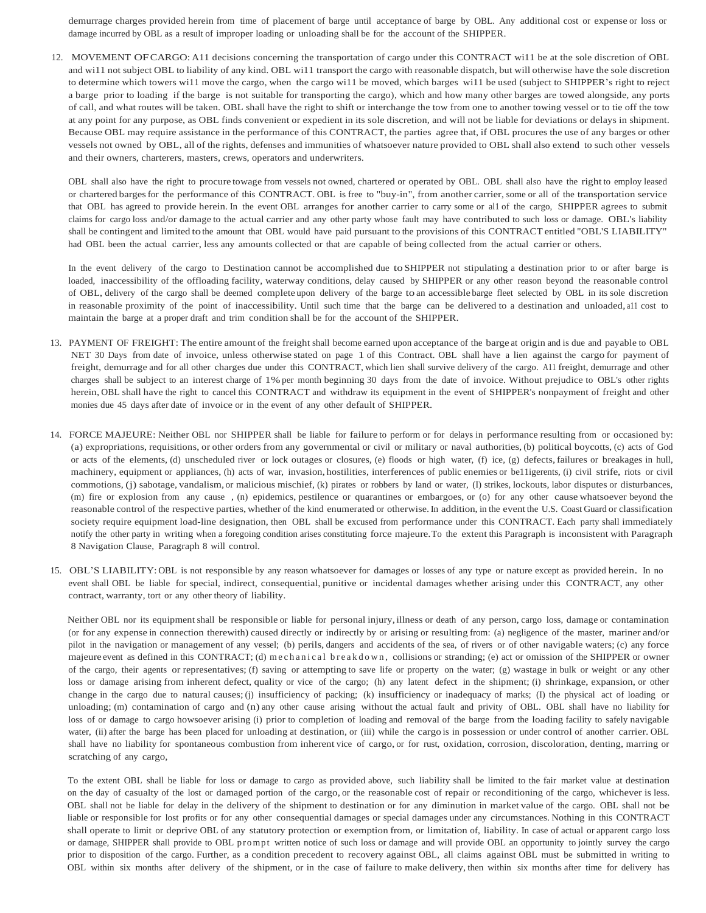demurrage charges provided herein from time of placement of barge until acceptance of barge by OBL. Any additional cost or expense or loss or damage incurred by OBL as a result of improper loading or unloading shall be for the account of the SHIPPER.

12. MOVEMENT OFCARGO: A11 decisions concerning the transportation of cargo under this CONTRACT wi11 be at the sole discretion of OBL and wi11 not subject OBL to liability of any kind. OBL wi11 transport the cargo with reasonable dispatch, but will otherwise have the sole discretion to determine which towers wi11 move the cargo, when the cargo wi11 be moved, which barges wi11 be used (subject to SHIPPER's right to reject a barge prior to loading if the barge is not suitable for transporting the cargo), which and how many other barges are towed alongside, any ports of call, and what routes will be taken. OBL shall have the right to shift or interchange the tow from one to another towing vessel or to tie off the tow at any point for any purpose, as OBL finds convenient or expedient in its sole discretion, and will not be liable for deviations or delays in shipment. Because OBL may require assistance in the performance of this CONTRACT, the parties agree that, if OBL procures the use of any barges or other vessels not owned by OBL, all of the rights, defenses and immunities of whatsoever nature provided to OBL shall also extend to such other vessels and their owners, charterers, masters, crews, operators and underwriters.

OBL shall also have the right to procure towage from vessels not owned, chartered or operated by OBL. OBL shall also have the right to employ leased or chartered bargesfor the performance of this CONTRACT. OBL is free to "buy-in", from another carrier, some or all of the transportation service that OBL has agreed to provide herein. In the event OBL arranges for another carrier to carry some or al1 of the cargo, SHIPPER agrees to submit claims for cargo loss and/or damage to the actual carrier and any other party whose fault may have contributed to such loss or damage. OBL's liability shall be contingent and limited tothe amount that OBL would have paid pursuant to the provisions of this CONTRACT entitled "OBL'S LIABILITY" had OBL been the actual carrier, less any amounts collected or that are capable of being collected from the actual carrier or others.

In the event delivery of the cargo to Destination cannot be accomplished due to SHIPPER not stipulating a destination prior to or after barge is loaded, inaccessibility of the offloading facility, waterway conditions, delay caused by SHIPPER or any other reason beyond the reasonable control of OBL, delivery of the cargo shall be deemed complete upon delivery of the barge to an accessible barge fleet selected by OBL in its sole discretion in reasonable proximity of the point of inaccessibility. Until such time that the barge can be delivered to a destination and unloaded, a11 cost to maintain the barge at a proper draft and trim condition shall be for the account of the SHIPPER.

- 13. PAYMENT OF FREIGHT: The entire amount of the freight shall become earned upon acceptance of the barge at origin and is due and payable to OBL NET 30 Days from date of invoice, unless otherwise stated on page 1 of this Contract. OBL shall have a lien against the cargo for payment of freight, demurrage and for all other charges due under this CONTRACT, which lien shall survive delivery of the cargo. A11 freight, demurrage and other charges shall be subject to an interest charge of 1% per month beginning 30 days from the date of invoice. Without prejudice to OBL's other rights herein, OBL shall have the right to cancel this CONTRACT and withdraw its equipment in the event of SHIPPER's nonpayment of freight and other monies due 45 days after date of invoice or in the event of any other default of SHIPPER.
- 14. FORCE MAJEURE: Neither OBL nor SHIPPER shall be liable for failure to perform or for delays in performance resulting from or occasioned by: (a) expropriations, requisitions, or other orders from any governmental or civil or military or naval authorities, (b) political boycotts, (c) acts of God or acts of the elements, (d) unscheduled river or lock outages or closures, (e) floods or high water, (f) ice, (g) defects, failures or breakages in hull, machinery, equipment or appliances, (h) acts of war, invasion, hostilities, interferences of public enemies or be11igerents, (i) civil strife, riots or civil commotions, (j) sabotage, vandalism, or malicious mischief, (k) pirates or robbers by land or water, (I) strikes, lockouts, labor disputes or disturbances, (m) fire or explosion from any cause , (n) epidemics, pestilence or quarantines or embargoes, or (o) for any other cause whatsoever beyond the reasonable control of the respective parties, whether of the kind enumerated or otherwise. In addition, in the event the U.S. Coast Guard or classification society require equipment load-line designation, then OBL shall be excused from performance under this CONTRACT. Each party shall immediately notify the other party in writing when a foregoing condition arises constituting force majeure.To the extent this Paragraph is inconsistent with Paragraph 8 Navigation Clause, Paragraph 8 will control.
- 15. OBL'S LIABILITY: OBL is not responsible by any reason whatsoever for damages or losses of any type or nature except as provided herein. In no event shall OBL be liable for special, indirect, consequential, punitive or incidental damages whether arising under this CONTRACT, any other contract, warranty, tort or any other theory of liability.

Neither OBL nor its equipment shall be responsible or liable for personal injury,illness or death of any person, cargo loss, damage or contamination (or for any expense in connection therewith) caused directly or indirectly by or arising or resulting from: (a) negligence of the master, mariner and/or pilot in the navigation or management of any vessel; (b) perils, dangers and accidents of the sea, of rivers or of other navigable waters; (c) any force majeure event as defined in this CONTRACT; (d) me chanical breakdown, collisions or stranding; (e) act or omission of the SHIPPER or owner of the cargo, their agents or representatives; (f) saving or attempting to save life or property on the water; (g) wastage in bulk or weight or any other loss or damage arising from inherent defect, quality or vice of the cargo; (h) any latent defect in the shipment; (i) shrinkage, expansion, or other change in the cargo due to natural causes; (j) insufficiency of packing; (k) insufficiency or inadequacy of marks; (I) the physical act of loading or unloading; (m) contamination of cargo and (n) any other cause arising without the actual fault and privity of OBL. OBL shall have no liability for loss of or damage to cargo howsoever arising (i) prior to completion of loading and removal of the barge from the loading facility to safely navigable water, (ii) after the barge has been placed for unloading at destination, or (iii) while the cargo is in possession or under control of another carrier. OBL shall have no liability for spontaneous combustion from inherent vice of cargo, or for rust, oxidation, corrosion, discoloration, denting, marring or scratching of any cargo,

To the extent OBL shall be liable for loss or damage to cargo as provided above, such liability shall be limited to the fair market value at destination on the day of casualty of the lost or damaged portion of the cargo, or the reasonable cost of repair or reconditioning of the cargo, whichever is less. OBL shall not be liable for delay in the delivery of the shipment to destination or for any diminution in market value of the cargo. OBL shall not be liable or responsible for lost profits or for any other consequential damages or special damages under any circumstances. Nothing in this CONTRACT shall operate to limit or deprive OBL of any statutory protection or exemption from, or limitation of, liability. In case of actual or apparent cargo loss or damage, SHIPPER shall provide to OBL prompt written notice of such loss or damage and will provide OBL an opportunity to jointly survey the cargo prior to disposition of the cargo. Further, as a condition precedent to recovery against OBL, all claims against OBL must be submitted in writing to OBL within six months after delivery of the shipment, or in the case of failure to make delivery, then within six months after time for delivery has